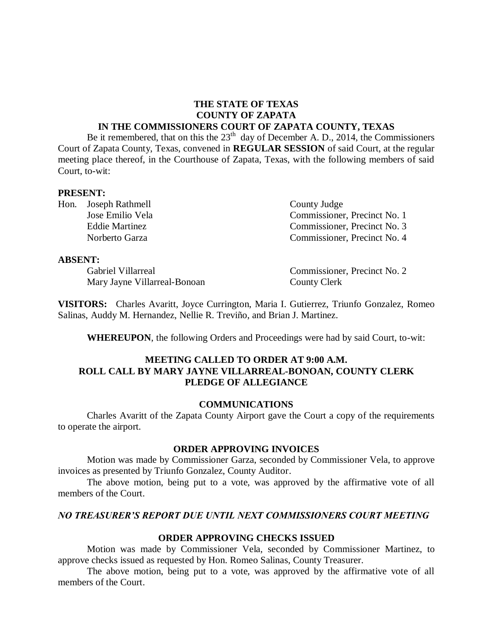#### **THE STATE OF TEXAS COUNTY OF ZAPATA IN THE COMMISSIONERS COURT OF ZAPATA COUNTY, TEXAS**

Be it remembered, that on this the  $23<sup>th</sup>$  day of December A. D., 2014, the Commissioners Court of Zapata County, Texas, convened in **REGULAR SESSION** of said Court, at the regular meeting place thereof, in the Courthouse of Zapata, Texas, with the following members of said Court, to-wit:

#### **PRESENT:**

Hon. Joseph Rathmell County Judge

**ABSENT:**

Mary Jayne Villarreal-Bonoan County Clerk

Jose Emilio Vela Commissioner, Precinct No. 1 Eddie Martinez Commissioner, Precinct No. 3 Norberto Garza Commissioner, Precinct No. 4

Gabriel Villarreal Commissioner, Precinct No. 2

**VISITORS:** Charles Avaritt, Joyce Currington, Maria I. Gutierrez, Triunfo Gonzalez, Romeo Salinas, Auddy M. Hernandez, Nellie R. Treviño, and Brian J. Martinez.

**WHEREUPON**, the following Orders and Proceedings were had by said Court, to-wit:

## **MEETING CALLED TO ORDER AT 9:00 A.M. ROLL CALL BY MARY JAYNE VILLARREAL-BONOAN, COUNTY CLERK PLEDGE OF ALLEGIANCE**

#### **COMMUNICATIONS**

Charles Avaritt of the Zapata County Airport gave the Court a copy of the requirements to operate the airport.

#### **ORDER APPROVING INVOICES**

Motion was made by Commissioner Garza, seconded by Commissioner Vela, to approve invoices as presented by Triunfo Gonzalez, County Auditor.

The above motion, being put to a vote, was approved by the affirmative vote of all members of the Court.

### *NO TREASURER'S REPORT DUE UNTIL NEXT COMMISSIONERS COURT MEETING*

### **ORDER APPROVING CHECKS ISSUED**

Motion was made by Commissioner Vela, seconded by Commissioner Martinez, to approve checks issued as requested by Hon. Romeo Salinas, County Treasurer.

The above motion, being put to a vote, was approved by the affirmative vote of all members of the Court.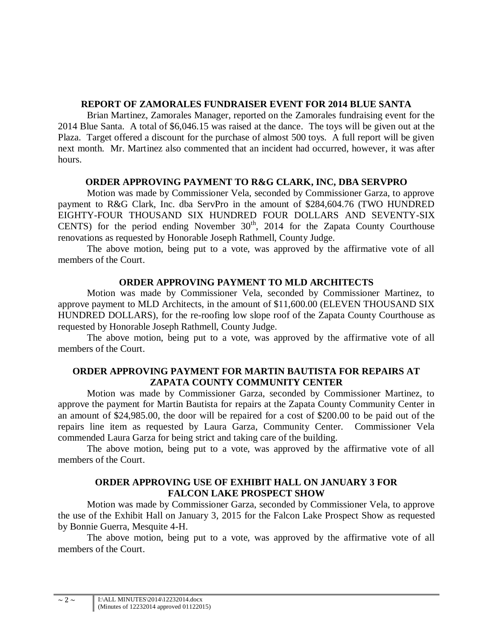# **REPORT OF ZAMORALES FUNDRAISER EVENT FOR 2014 BLUE SANTA**

Brian Martinez, Zamorales Manager, reported on the Zamorales fundraising event for the 2014 Blue Santa. A total of \$6,046.15 was raised at the dance. The toys will be given out at the Plaza. Target offered a discount for the purchase of almost 500 toys. A full report will be given next month. Mr. Martinez also commented that an incident had occurred, however, it was after hours.

# **ORDER APPROVING PAYMENT TO R&G CLARK, INC, DBA SERVPRO**

Motion was made by Commissioner Vela, seconded by Commissioner Garza, to approve payment to R&G Clark, Inc. dba ServPro in the amount of \$284,604.76 (TWO HUNDRED EIGHTY-FOUR THOUSAND SIX HUNDRED FOUR DOLLARS AND SEVENTY-SIX CENTS) for the period ending November  $30<sup>th</sup>$ , 2014 for the Zapata County Courthouse renovations as requested by Honorable Joseph Rathmell, County Judge.

The above motion, being put to a vote, was approved by the affirmative vote of all members of the Court.

# **ORDER APPROVING PAYMENT TO MLD ARCHITECTS**

Motion was made by Commissioner Vela, seconded by Commissioner Martinez, to approve payment to MLD Architects, in the amount of \$11,600.00 (ELEVEN THOUSAND SIX HUNDRED DOLLARS), for the re-roofing low slope roof of the Zapata County Courthouse as requested by Honorable Joseph Rathmell, County Judge.

The above motion, being put to a vote, was approved by the affirmative vote of all members of the Court.

## **ORDER APPROVING PAYMENT FOR MARTIN BAUTISTA FOR REPAIRS AT ZAPATA COUNTY COMMUNITY CENTER**

Motion was made by Commissioner Garza, seconded by Commissioner Martinez, to approve the payment for Martin Bautista for repairs at the Zapata County Community Center in an amount of \$24,985.00, the door will be repaired for a cost of \$200.00 to be paid out of the repairs line item as requested by Laura Garza, Community Center. Commissioner Vela commended Laura Garza for being strict and taking care of the building.

The above motion, being put to a vote, was approved by the affirmative vote of all members of the Court.

## **ORDER APPROVING USE OF EXHIBIT HALL ON JANUARY 3 FOR FALCON LAKE PROSPECT SHOW**

Motion was made by Commissioner Garza, seconded by Commissioner Vela, to approve the use of the Exhibit Hall on January 3, 2015 for the Falcon Lake Prospect Show as requested by Bonnie Guerra, Mesquite 4-H.

The above motion, being put to a vote, was approved by the affirmative vote of all members of the Court.